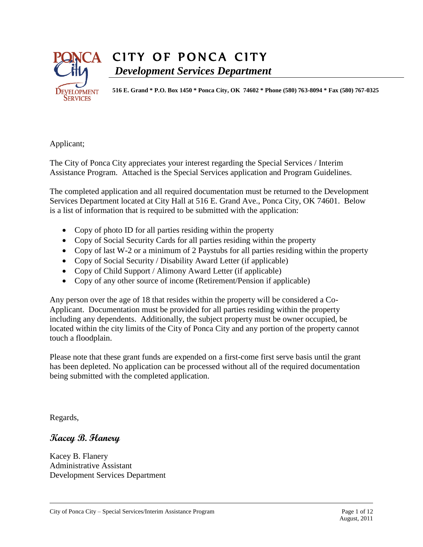

# CITY OF PONCA CITY *Development Services Department*

**516 E. Grand \* P.O. Box 1450 \* Ponca City, OK 74602 \* Phone (580) 763-8094 \* Fax (580) 767-0325**

Applicant;

The City of Ponca City appreciates your interest regarding the Special Services / Interim Assistance Program. Attached is the Special Services application and Program Guidelines.

The completed application and all required documentation must be returned to the Development Services Department located at City Hall at 516 E. Grand Ave., Ponca City, OK 74601. Below is a list of information that is required to be submitted with the application:

- Copy of photo ID for all parties residing within the property
- Copy of Social Security Cards for all parties residing within the property
- Copy of last W-2 or a minimum of 2 Paystubs for all parties residing within the property
- Copy of Social Security / Disability Award Letter (if applicable)
- Copy of Child Support / Alimony Award Letter (if applicable)
- Copy of any other source of income (Retirement/Pension if applicable)

Any person over the age of 18 that resides within the property will be considered a Co-Applicant. Documentation must be provided for all parties residing within the property including any dependents. Additionally, the subject property must be owner occupied, be located within the city limits of the City of Ponca City and any portion of the property cannot touch a floodplain.

Please note that these grant funds are expended on a first-come first serve basis until the grant has been depleted. No application can be processed without all of the required documentation being submitted with the completed application.

Regards,

# **Kacey B. Flanery**

Kacey B. Flanery Administrative Assistant Development Services Department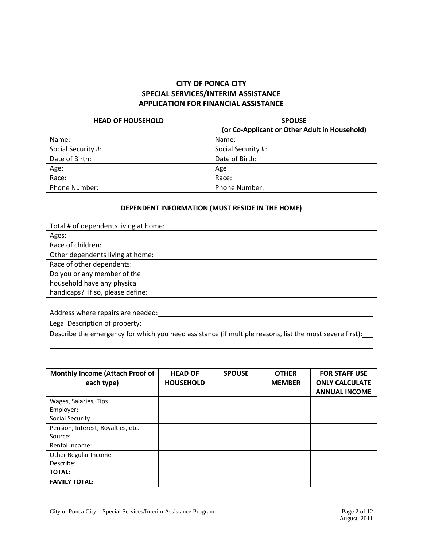#### **CITY OF PONCA CITY SPECIAL SERVICES/INTERIM ASSISTANCE APPLICATION FOR FINANCIAL ASSISTANCE**

| <b>HEAD OF HOUSEHOLD</b> | <b>SPOUSE</b>                                 |
|--------------------------|-----------------------------------------------|
|                          | (or Co-Applicant or Other Adult in Household) |
| Name:                    | Name:                                         |
| Social Security #:       | Social Security #:                            |
| Date of Birth:           | Date of Birth:                                |
| Age:                     | Age:                                          |
| Race:                    | Race:                                         |
| <b>Phone Number:</b>     | <b>Phone Number:</b>                          |

#### **DEPENDENT INFORMATION (MUST RESIDE IN THE HOME)**

| Total # of dependents living at home: |  |
|---------------------------------------|--|
| Ages:                                 |  |
| Race of children:                     |  |
| Other dependents living at home:      |  |
| Race of other dependents:             |  |
| Do you or any member of the           |  |
| household have any physical           |  |
| handicaps? If so, please define:      |  |

Address where repairs are needed:

Legal Description of property:

Describe the emergency for which you need assistance (if multiple reasons, list the most severe first):

| <b>Monthly Income (Attach Proof of</b><br>each type) | <b>HEAD OF</b><br><b>HOUSEHOLD</b> | <b>SPOUSE</b> | <b>OTHER</b><br><b>MEMBER</b> | <b>FOR STAFF USE</b><br><b>ONLY CALCULATE</b><br><b>ANNUAL INCOME</b> |
|------------------------------------------------------|------------------------------------|---------------|-------------------------------|-----------------------------------------------------------------------|
| Wages, Salaries, Tips<br>Employer:                   |                                    |               |                               |                                                                       |
| Social Security                                      |                                    |               |                               |                                                                       |
| Pension, Interest, Royalties, etc.<br>Source:        |                                    |               |                               |                                                                       |
| Rental Income:                                       |                                    |               |                               |                                                                       |
| Other Regular Income<br>Describe:                    |                                    |               |                               |                                                                       |
| <b>TOTAL:</b>                                        |                                    |               |                               |                                                                       |
| <b>FAMILY TOTAL:</b>                                 |                                    |               |                               |                                                                       |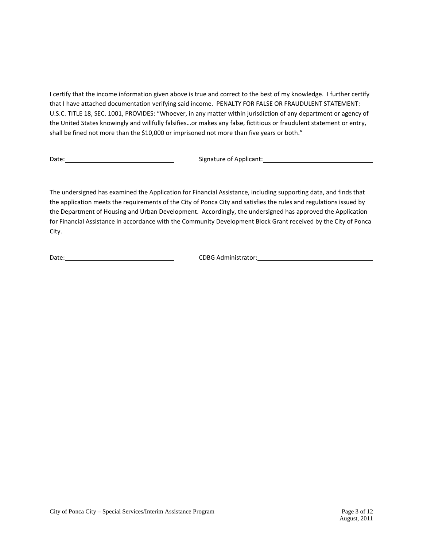I certify that the income information given above is true and correct to the best of my knowledge. I further certify that I have attached documentation verifying said income. PENALTY FOR FALSE OR FRAUDULENT STATEMENT: U.S.C. TITLE 18, SEC. 1001, PROVIDES: "Whoever, in any matter within jurisdiction of any department or agency of the United States knowingly and willfully falsifies…or makes any false, fictitious or fraudulent statement or entry, shall be fined not more than the \$10,000 or imprisoned not more than five years or both."

Date: Signature of Applicant: Sample of Applicant: Signature of Applicant:

The undersigned has examined the Application for Financial Assistance, including supporting data, and finds that the application meets the requirements of the City of Ponca City and satisfies the rules and regulations issued by the Department of Housing and Urban Development. Accordingly, the undersigned has approved the Application for Financial Assistance in accordance with the Community Development Block Grant received by the City of Ponca City.

Date: CDBG Administrator: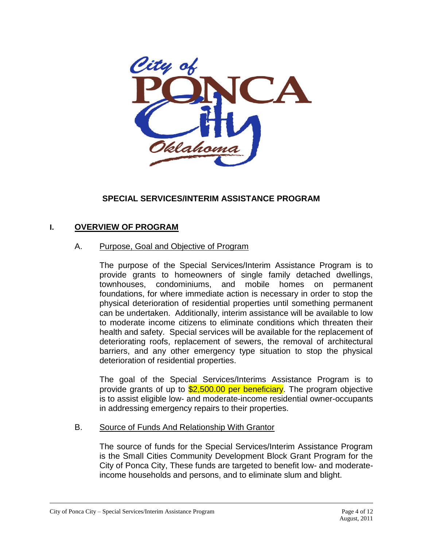

# **SPECIAL SERVICES/INTERIM ASSISTANCE PROGRAM**

### **I. OVERVIEW OF PROGRAM**

#### A. Purpose, Goal and Objective of Program

The purpose of the Special Services/Interim Assistance Program is to provide grants to homeowners of single family detached dwellings, townhouses, condominiums, and mobile homes on permanent foundations, for where immediate action is necessary in order to stop the physical deterioration of residential properties until something permanent can be undertaken. Additionally, interim assistance will be available to low to moderate income citizens to eliminate conditions which threaten their health and safety. Special services will be available for the replacement of deteriorating roofs, replacement of sewers, the removal of architectural barriers, and any other emergency type situation to stop the physical deterioration of residential properties.

The goal of the Special Services/Interims Assistance Program is to provide grants of up to \$2,500.00 per beneficiary. The program objective is to assist eligible low- and moderate-income residential owner-occupants in addressing emergency repairs to their properties.

#### B. Source of Funds And Relationship With Grantor

The source of funds for the Special Services/Interim Assistance Program is the Small Cities Community Development Block Grant Program for the City of Ponca City, These funds are targeted to benefit low- and moderateincome households and persons, and to eliminate slum and blight.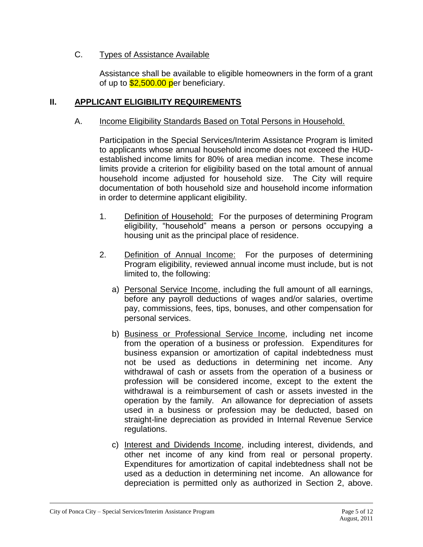### C. Types of Assistance Available

Assistance shall be available to eligible homeowners in the form of a grant of up to  $$2,500.00$  per beneficiary.

# **II. APPLICANT ELIGIBILITY REQUIREMENTS**

#### A. Income Eligibility Standards Based on Total Persons in Household.

Participation in the Special Services/Interim Assistance Program is limited to applicants whose annual household income does not exceed the HUDestablished income limits for 80% of area median income. These income limits provide a criterion for eligibility based on the total amount of annual household income adjusted for household size. The City will require documentation of both household size and household income information in order to determine applicant eligibility.

- 1. Definition of Household: For the purposes of determining Program eligibility, "household" means a person or persons occupying a housing unit as the principal place of residence.
- 2. Definition of Annual Income: For the purposes of determining Program eligibility, reviewed annual income must include, but is not limited to, the following:
	- a) Personal Service Income, including the full amount of all earnings, before any payroll deductions of wages and/or salaries, overtime pay, commissions, fees, tips, bonuses, and other compensation for personal services.
	- b) Business or Professional Service Income, including net income from the operation of a business or profession. Expenditures for business expansion or amortization of capital indebtedness must not be used as deductions in determining net income. Any withdrawal of cash or assets from the operation of a business or profession will be considered income, except to the extent the withdrawal is a reimbursement of cash or assets invested in the operation by the family. An allowance for depreciation of assets used in a business or profession may be deducted, based on straight-line depreciation as provided in Internal Revenue Service regulations.
	- c) Interest and Dividends Income, including interest, dividends, and other net income of any kind from real or personal property. Expenditures for amortization of capital indebtedness shall not be used as a deduction in determining net income. An allowance for depreciation is permitted only as authorized in Section 2, above.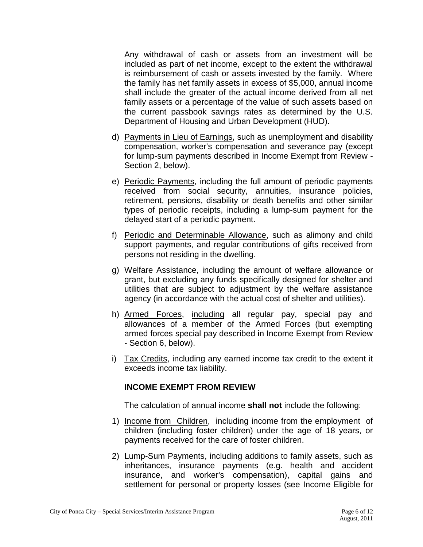Any withdrawal of cash or assets from an investment will be included as part of net income, except to the extent the withdrawal is reimbursement of cash or assets invested by the family. Where the family has net family assets in excess of \$5,000, annual income shall include the greater of the actual income derived from all net family assets or a percentage of the value of such assets based on the current passbook savings rates as determined by the U.S. Department of Housing and Urban Development (HUD).

- d) Payments in Lieu of Earnings, such as unemployment and disability compensation, worker's compensation and severance pay (except for lump-sum payments described in Income Exempt from Review - Section 2, below).
- e) Periodic Payments, including the full amount of periodic payments received from social security, annuities, insurance policies, retirement, pensions, disability or death benefits and other similar types of periodic receipts, including a lump-sum payment for the delayed start of a periodic payment.
- f) Periodic and Determinable Allowance, such as alimony and child support payments, and regular contributions of gifts received from persons not residing in the dwelling.
- g) Welfare Assistance, including the amount of welfare allowance or grant, but excluding any funds specifically designed for shelter and utilities that are subject to adjustment by the welfare assistance agency (in accordance with the actual cost of shelter and utilities).
- h) Armed Forces, including all regular pay, special pay and allowances of a member of the Armed Forces (but exempting armed forces special pay described in Income Exempt from Review - Section 6, below).
- i) Tax Credits, including any earned income tax credit to the extent it exceeds income tax liability.

# **INCOME EXEMPT FROM REVIEW**

The calculation of annual income **shall not** include the following:

- 1) Income from Children, including income from the employment of children (including foster children) under the age of 18 years, or payments received for the care of foster children.
- 2) Lump-Sum Payments, including additions to family assets, such as inheritances, insurance payments (e.g. health and accident insurance, and worker's compensation), capital gains and settlement for personal or property losses (see Income Eligible for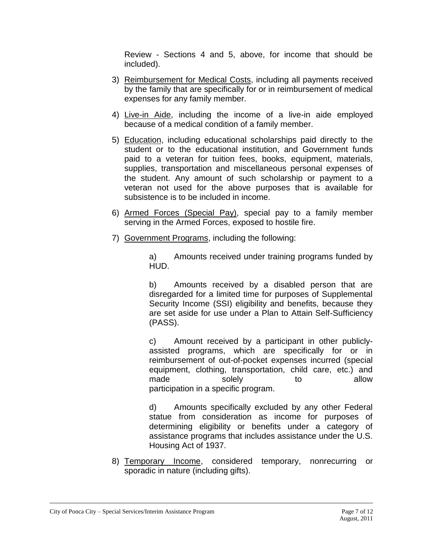Review - Sections 4 and 5, above, for income that should be included).

- 3) Reimbursement for Medical Costs, including all payments received by the family that are specifically for or in reimbursement of medical expenses for any family member.
- 4) Live-in Aide, including the income of a live-in aide employed because of a medical condition of a family member.
- 5) Education, including educational scholarships paid directly to the student or to the educational institution, and Government funds paid to a veteran for tuition fees, books, equipment, materials, supplies, transportation and miscellaneous personal expenses of the student. Any amount of such scholarship or payment to a veteran not used for the above purposes that is available for subsistence is to be included in income.
- 6) Armed Forces (Special Pay), special pay to a family member serving in the Armed Forces, exposed to hostile fire.
- 7) Government Programs, including the following:

a) Amounts received under training programs funded by HUD.

b) Amounts received by a disabled person that are disregarded for a limited time for purposes of Supplemental Security Income (SSI) eligibility and benefits, because they are set aside for use under a Plan to Attain Self-Sufficiency (PASS).

c) Amount received by a participant in other publiclyassisted programs, which are specifically for or in reimbursement of out-of-pocket expenses incurred (special equipment, clothing, transportation, child care, etc.) and made solely to allow participation in a specific program.

d) Amounts specifically excluded by any other Federal statue from consideration as income for purposes of determining eligibility or benefits under a category of assistance programs that includes assistance under the U.S. Housing Act of 1937.

8) Temporary Income, considered temporary, nonrecurring or sporadic in nature (including gifts).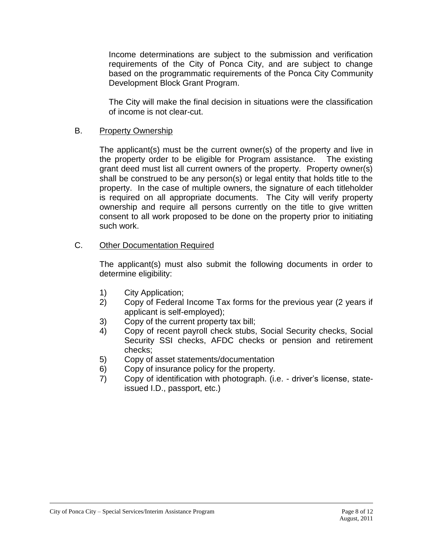Income determinations are subject to the submission and verification requirements of the City of Ponca City, and are subject to change based on the programmatic requirements of the Ponca City Community Development Block Grant Program.

The City will make the final decision in situations were the classification of income is not clear-cut.

### B. Property Ownership

The applicant(s) must be the current owner(s) of the property and live in the property order to be eligible for Program assistance. The existing grant deed must list all current owners of the property. Property owner(s) shall be construed to be any person(s) or legal entity that holds title to the property. In the case of multiple owners, the signature of each titleholder is required on all appropriate documents. The City will verify property ownership and require all persons currently on the title to give written consent to all work proposed to be done on the property prior to initiating such work.

### C. Other Documentation Required

The applicant(s) must also submit the following documents in order to determine eligibility:

- 1) City Application;
- 2) Copy of Federal Income Tax forms for the previous year (2 years if applicant is self-employed);
- 3) Copy of the current property tax bill;
- 4) Copy of recent payroll check stubs, Social Security checks, Social Security SSI checks, AFDC checks or pension and retirement checks;
- 5) Copy of asset statements/documentation
- 6) Copy of insurance policy for the property.
- 7) Copy of identification with photograph. (i.e. driver's license, stateissued I.D., passport, etc.)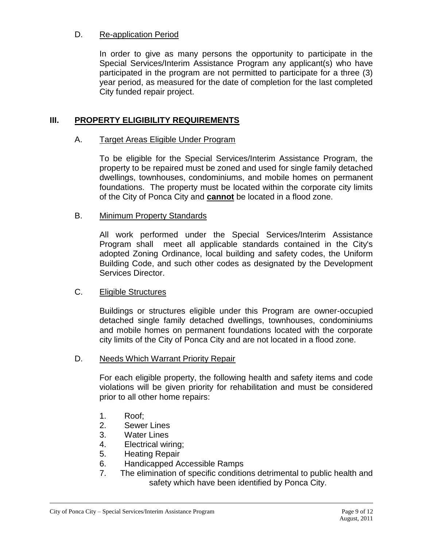#### D. Re-application Period

In order to give as many persons the opportunity to participate in the Special Services/Interim Assistance Program any applicant(s) who have participated in the program are not permitted to participate for a three (3) year period, as measured for the date of completion for the last completed City funded repair project.

#### **III. PROPERTY ELIGIBILITY REQUIREMENTS**

#### A. Target Areas Eligible Under Program

To be eligible for the Special Services/Interim Assistance Program, the property to be repaired must be zoned and used for single family detached dwellings, townhouses, condominiums, and mobile homes on permanent foundations. The property must be located within the corporate city limits of the City of Ponca City and **cannot** be located in a flood zone.

#### B. Minimum Property Standards

All work performed under the Special Services/Interim Assistance Program shall meet all applicable standards contained in the City's adopted Zoning Ordinance, local building and safety codes, the Uniform Building Code, and such other codes as designated by the Development Services Director.

#### C. Eligible Structures

Buildings or structures eligible under this Program are owner-occupied detached single family detached dwellings, townhouses, condominiums and mobile homes on permanent foundations located with the corporate city limits of the City of Ponca City and are not located in a flood zone.

#### D. Needs Which Warrant Priority Repair

For each eligible property, the following health and safety items and code violations will be given priority for rehabilitation and must be considered prior to all other home repairs:

- 1. Roof;
- 2. Sewer Lines
- 3. Water Lines
- 4. Electrical wiring;
- 5. Heating Repair
- 6. Handicapped Accessible Ramps
- 7. The elimination of specific conditions detrimental to public health and safety which have been identified by Ponca City.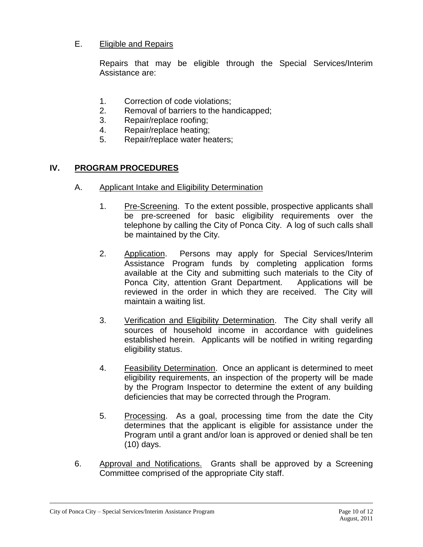### E. Eligible and Repairs

Repairs that may be eligible through the Special Services/Interim Assistance are:

- 1. Correction of code violations;
- 2. Removal of barriers to the handicapped;
- 3. Repair/replace roofing;
- 4. Repair/replace heating;
- 5. Repair/replace water heaters;

# **IV. PROGRAM PROCEDURES**

- A. Applicant Intake and Eligibility Determination
	- 1. Pre-Screening. To the extent possible, prospective applicants shall be pre-screened for basic eligibility requirements over the telephone by calling the City of Ponca City. A log of such calls shall be maintained by the City.
	- 2. Application. Persons may apply for Special Services/Interim Assistance Program funds by completing application forms available at the City and submitting such materials to the City of Ponca City, attention Grant Department. Applications will be reviewed in the order in which they are received. The City will maintain a waiting list.
	- 3. Verification and Eligibility Determination. The City shall verify all sources of household income in accordance with guidelines established herein. Applicants will be notified in writing regarding eligibility status.
	- 4. Feasibility Determination. Once an applicant is determined to meet eligibility requirements, an inspection of the property will be made by the Program Inspector to determine the extent of any building deficiencies that may be corrected through the Program.
	- 5. Processing. As a goal, processing time from the date the City determines that the applicant is eligible for assistance under the Program until a grant and/or loan is approved or denied shall be ten (10) days.
- 6. Approval and Notifications. Grants shall be approved by a Screening Committee comprised of the appropriate City staff.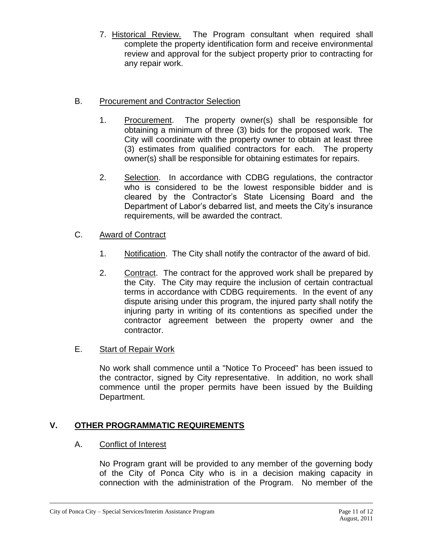7. Historical Review. The Program consultant when required shall complete the property identification form and receive environmental review and approval for the subject property prior to contracting for any repair work.

# B. Procurement and Contractor Selection

- 1. Procurement. The property owner(s) shall be responsible for obtaining a minimum of three (3) bids for the proposed work. The City will coordinate with the property owner to obtain at least three (3) estimates from qualified contractors for each. The property owner(s) shall be responsible for obtaining estimates for repairs.
- 2. Selection. In accordance with CDBG regulations, the contractor who is considered to be the lowest responsible bidder and is cleared by the Contractor's State Licensing Board and the Department of Labor's debarred list, and meets the City's insurance requirements, will be awarded the contract.
- C. Award of Contract
	- 1. Notification. The City shall notify the contractor of the award of bid.
	- 2. Contract. The contract for the approved work shall be prepared by the City. The City may require the inclusion of certain contractual terms in accordance with CDBG requirements. In the event of any dispute arising under this program, the injured party shall notify the injuring party in writing of its contentions as specified under the contractor agreement between the property owner and the contractor.

### E. Start of Repair Work

No work shall commence until a "Notice To Proceed" has been issued to the contractor, signed by City representative. In addition, no work shall commence until the proper permits have been issued by the Building Department.

# **V. OTHER PROGRAMMATIC REQUIREMENTS**

### A. Conflict of Interest

No Program grant will be provided to any member of the governing body of the City of Ponca City who is in a decision making capacity in connection with the administration of the Program. No member of the